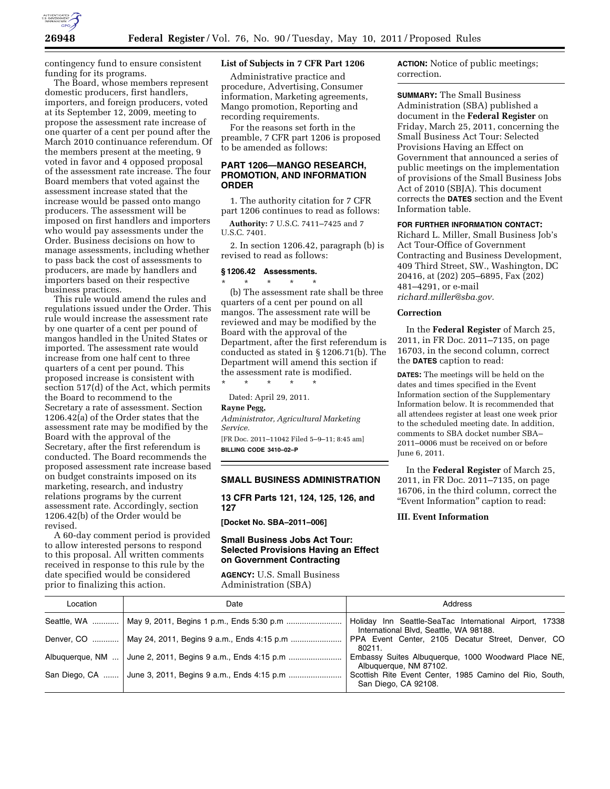

contingency fund to ensure consistent funding for its programs.

The Board, whose members represent domestic producers, first handlers, importers, and foreign producers, voted at its September 12, 2009, meeting to propose the assessment rate increase of one quarter of a cent per pound after the March 2010 continuance referendum. Of the members present at the meeting, 9 voted in favor and 4 opposed proposal of the assessment rate increase. The four Board members that voted against the assessment increase stated that the increase would be passed onto mango producers. The assessment will be imposed on first handlers and importers who would pay assessments under the Order. Business decisions on how to manage assessments, including whether to pass back the cost of assessments to producers, are made by handlers and importers based on their respective business practices.

This rule would amend the rules and regulations issued under the Order. This rule would increase the assessment rate by one quarter of a cent per pound of mangos handled in the United States or imported. The assessment rate would increase from one half cent to three quarters of a cent per pound. This proposed increase is consistent with section 517(d) of the Act, which permits the Board to recommend to the Secretary a rate of assessment. Section 1206.42(a) of the Order states that the assessment rate may be modified by the Board with the approval of the Secretary, after the first referendum is conducted. The Board recommends the proposed assessment rate increase based on budget constraints imposed on its marketing, research, and industry relations programs by the current assessment rate. Accordingly, section 1206.42(b) of the Order would be revised.

A 60-day comment period is provided to allow interested persons to respond to this proposal. All written comments received in response to this rule by the date specified would be considered prior to finalizing this action.

# **List of Subjects in 7 CFR Part 1206**

Administrative practice and procedure, Advertising, Consumer information, Marketing agreements, Mango promotion, Reporting and recording requirements.

For the reasons set forth in the preamble, 7 CFR part 1206 is proposed to be amended as follows:

# **PART 1206—MANGO RESEARCH, PROMOTION, AND INFORMATION ORDER**

1. The authority citation for 7 CFR part 1206 continues to read as follows:

**Authority:** 7 U.S.C. 7411–7425 and 7 U.S.C. 7401.

2. In section 1206.42, paragraph (b) is revised to read as follows:

# **§ 1206.42 Assessments.**

\* \* \* \* \* (b) The assessment rate shall be three quarters of a cent per pound on all mangos. The assessment rate will be reviewed and may be modified by the Board with the approval of the Department, after the first referendum is conducted as stated in § 1206.71(b). The Department will amend this section if the assessment rate is modified.

\* \* \* \* \* Dated: April 29, 2011.

#### **Rayne Pegg,**

*Administrator, Agricultural Marketing Service.*  [FR Doc. 2011–11042 Filed 5–9–11; 8:45 am] **BILLING CODE 3410–02–P** 

## **SMALL BUSINESS ADMINISTRATION**

**13 CFR Parts 121, 124, 125, 126, and 127** 

**[Docket No. SBA–2011–006]** 

## **Small Business Jobs Act Tour: Selected Provisions Having an Effect on Government Contracting**

**AGENCY:** U.S. Small Business Administration (SBA)

**ACTION:** Notice of public meetings; correction.

**SUMMARY:** The Small Business Administration (SBA) published a document in the **Federal Register** on Friday, March 25, 2011, concerning the Small Business Act Tour: Selected Provisions Having an Effect on Government that announced a series of public meetings on the implementation of provisions of the Small Business Jobs Act of 2010 (SBJA). This document corrects the **DATES** section and the Event Information table.

# **FOR FURTHER INFORMATION CONTACT:**

Richard L. Miller, Small Business Job's Act Tour-Office of Government Contracting and Business Development, 409 Third Street, SW., Washington, DC 20416, at (202) 205–6895, Fax (202) 481–4291, or e-mail *[richard.miller@sba.gov.](mailto:richard.miller@sba.gov)* 

### **Correction**

In the **Federal Register** of March 25, 2011, in FR Doc. 2011–7135, on page 16703, in the second column, correct the **DATES** caption to read:

**DATES:** The meetings will be held on the dates and times specified in the Event Information section of the Supplementary Information below. It is recommended that all attendees register at least one week prior to the scheduled meeting date. In addition, comments to SBA docket number SBA– 2011–0006 must be received on or before June 6, 2011.

In the **Federal Register** of March 25, 2011, in FR Doc. 2011–7135, on page 16706, in the third column, correct the ''Event Information'' caption to read:

#### **III. Event Information**

| Location | Date                                                        | Address                                                                                           |
|----------|-------------------------------------------------------------|---------------------------------------------------------------------------------------------------|
|          | Seattle, WA    May 9, 2011, Begins 1 p.m., Ends 5:30 p.m    | Holiday Inn Seattle-SeaTac International Airport, 17338<br>International Blvd, Seattle, WA 98188. |
|          | Denver, CO    May 24, 2011, Begins 9 a.m., Ends 4:15 p.m    | PPA Event Center, 2105 Decatur Street, Denver, CO<br>80211.                                       |
|          | Albuquerque, NM  June 2, 2011, Begins 9 a.m., Ends 4:15 p.m | Embassy Suites Albuquerque, 1000 Woodward Place NE,<br>Albuquerque, NM 87102.                     |
|          | San Diego, CA  June 3, 2011, Begins 9 a.m., Ends 4:15 p.m   | Scottish Rite Event Center, 1985 Camino del Rio, South,<br>San Diego, CA 92108.                   |